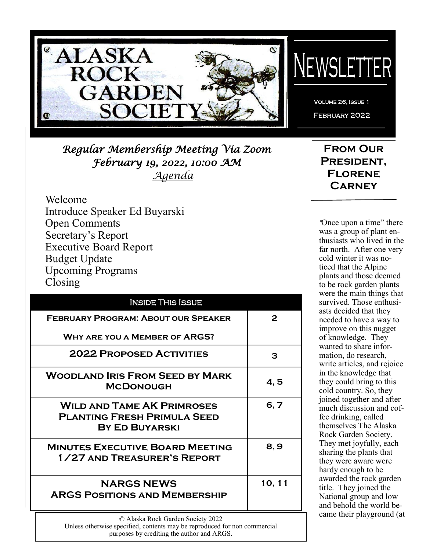

*Regular Membership Meeting Via Zoom February 19, 2022, 10:00 AM Agenda*

**From Our President, Florene Carney**

Volume 26, Issue 1 February 2022

EWSLETTER

Welcome Introduce Speaker Ed Buyarski Open Comments Secretary's Report Executive Board Report Budget Update Upcoming Programs Closing

| <b>INSIDE THIS ISSUE</b>                                                                         |        |  |
|--------------------------------------------------------------------------------------------------|--------|--|
| <b>FEBRUARY PROGRAM: ABOUT OUR SPEAKER</b>                                                       | 2      |  |
| <b>WHY ARE YOU A MEMBER OF ARGS?</b>                                                             |        |  |
| <b>2022 PROPOSED ACTIVITIES</b>                                                                  | З      |  |
| <b>WOODLAND IRIS FROM SEED BY MARK</b><br><b>MCDONOUGH</b>                                       | 4,5    |  |
| <b>WILD AND TAME AK PRIMROSES</b><br><b>PLANTING FRESH PRIMULA SEED</b><br><b>BY ED BUYARSKI</b> | 6, 7   |  |
| <b>MINUTES EXECUTIVE BOARD MEETING</b><br>1/27 AND TREASURER'S REPORT                            | 8,9    |  |
| <b>NARGS NEWS</b><br><b>ARGS POSITIONS AND MEMBERSHIP</b>                                        | 10, 11 |  |
| © Alaska Rock Garden Society 2022                                                                |        |  |

*"*Once upon a time" there was a group of plant enthusiasts who lived in the far north. After one very cold winter it was noticed that the Alpine plants and those deemed to be rock garden plants were the main things that survived. Those enthusiasts decided that they needed to have a way to improve on this nugget of knowledge. They wanted to share information, do research, write articles, and rejoice in the knowledge that they could bring to this cold country. So, they joined together and after much discussion and coffee drinking, called themselves The Alaska Rock Garden Society. They met joyfully, each sharing the plants that they were aware were hardy enough to be awarded the rock garden title. They joined the National group and low and behold the world became their playground (at

Unless otherwise specified, contents may be reproduced for non commercial purposes by crediting the author and ARGS.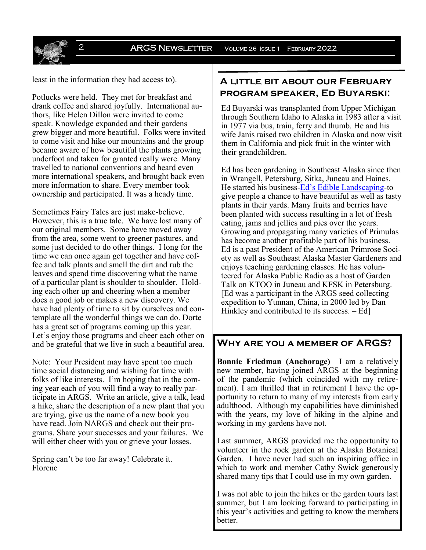least in the information they had access to).

Potlucks were held. They met for breakfast and drank coffee and shared joyfully. International authors, like Helen Dillon were invited to come speak. Knowledge expanded and their gardens grew bigger and more beautiful. Folks were invited to come visit and hike our mountains and the group became aware of how beautiful the plants growing underfoot and taken for granted really were. Many travelled to national conventions and heard even more international speakers, and brought back even more information to share. Every member took ownership and participated. It was a heady time.

Sometimes Fairy Tales are just make-believe. However, this is a true tale. We have lost many of our original members. Some have moved away from the area, some went to greener pastures, and some just decided to do other things. I long for the time we can once again get together and have coffee and talk plants and smell the dirt and rub the leaves and spend time discovering what the name of a particular plant is shoulder to shoulder. Holding each other up and cheering when a member does a good job or makes a new discovery. We have had plenty of time to sit by ourselves and contemplate all the wonderful things we can do. Dorte has a great set of programs coming up this year. Let's enjoy those programs and cheer each other on and be grateful that we live in such a beautiful area.

Note: Your President may have spent too much time social distancing and wishing for time with folks of like interests. I'm hoping that in the coming year each of you will find a way to really participate in ARGS. Write an article, give a talk, lead a hike, share the description of a new plant that you are trying, give us the name of a new book you have read. Join NARGS and check out their programs. Share your successes and your failures. We will either cheer with you or grieve your losses.

Spring can't be too far away! Celebrate it. Florene

### **A little bit about our February program speaker, Ed Buyarski:**

Ed Buyarski was transplanted from Upper Michigan through Southern Idaho to Alaska in 1983 after a visit in 1977 via bus, train, ferry and thumb. He and his wife Janis raised two children in Alaska and now visit them in California and pick fruit in the winter with their grandchildren.

Ed has been gardening in Southeast Alaska since then in Wrangell, Petersburg, Sitka, Juneau and Haines. He started his business-Ed'[s Edible Landscaping](https://www.facebook.com/eds.edible.landscaping/)-to give people a chance to have beautiful as well as tasty plants in their yards. Many fruits and berries have been planted with success resulting in a lot of fresh eating, jams and jellies and pies over the years. Growing and propagating many varieties of Primulas has become another profitable part of his business. Ed is a past President of the American Primrose Society as well as Southeast Alaska Master Gardeners and enjoys teaching gardening classes. He has volunteered for Alaska Public Radio as a host of Garden Talk on KTOO in Juneau and KFSK in Petersburg. [Ed was a participant in the ARGS seed collecting expedition to Yunnan, China, in 2000 led by Dan Hinkley and contributed to its success. – Ed]

### **Why are you a member of ARGS?**

**Bonnie Friedman (Anchorage)** I am a relatively new member, having joined ARGS at the beginning of the pandemic (which coincided with my retirement). I am thrilled that in retirement I have the opportunity to return to many of my interests from early adulthood. Although my capabilities have diminished with the years, my love of hiking in the alpine and working in my gardens have not.

Last summer, ARGS provided me the opportunity to volunteer in the rock garden at the Alaska Botanical Garden. I have never had such an inspiring office in which to work and member Cathy Swick generously shared many tips that I could use in my own garden.

I was not able to join the hikes or the garden tours last summer, but I am looking forward to participating in this year's activities and getting to know the members better.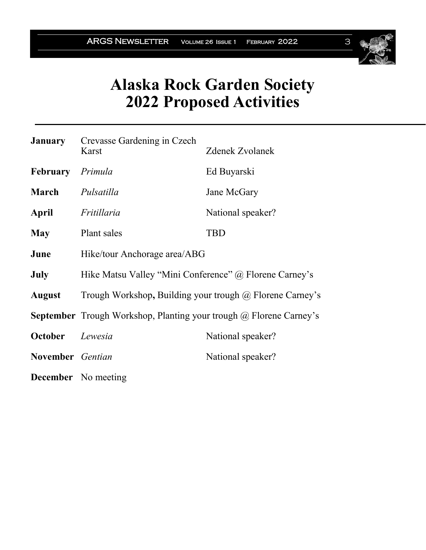

# **Alaska Rock Garden Society 2022 Proposed Activities**

|                  | <b>January</b> Crevasse Gardening in Czech<br>Karst                              | <b>Zdenek Zvolanek</b> |  |
|------------------|----------------------------------------------------------------------------------|------------------------|--|
|                  |                                                                                  |                        |  |
| February Primula |                                                                                  | Ed Buyarski            |  |
| March            | Pulsatilla                                                                       | Jane McGary            |  |
| April            | Fritillaria                                                                      | National speaker?      |  |
| <b>May</b>       | Plant sales                                                                      | <b>TBD</b>             |  |
| June             | Hike/tour Anchorage area/ABG                                                     |                        |  |
| <b>July</b>      | Hike Matsu Valley "Mini Conference" @ Florene Carney's                           |                        |  |
| <b>August</b>    | Trough Workshop, Building your trough $\omega$ Florene Carney's                  |                        |  |
|                  | <b>September</b> Trough Workshop, Planting your trough $\omega$ Florene Carney's |                        |  |
| October          | Lewesia                                                                          | National speaker?      |  |
| November Gentian |                                                                                  | National speaker?      |  |
|                  | <b>December</b> No meeting                                                       |                        |  |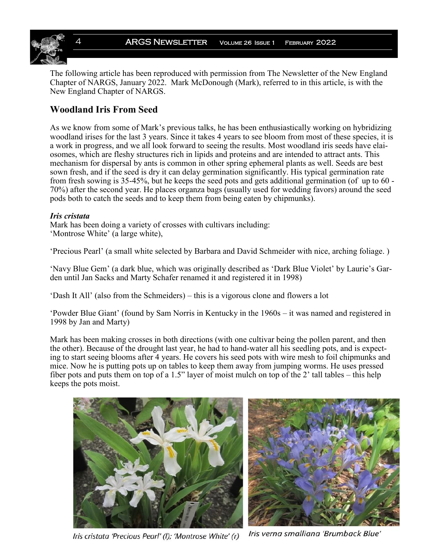

The following article has been reproduced with permission from The Newsletter of the New England Chapter of NARGS, January 2022. Mark McDonough (Mark), referred to in this article, is with the New England Chapter of NARGS.

### **Woodland Iris From Seed**

As we know from some of Mark's previous talks, he has been enthusiastically working on hybridizing woodland irises for the last 3 years. Since it takes 4 years to see bloom from most of these species, it is a work in progress, and we all look forward to seeing the results. Most woodland iris seeds have elaiosomes, which are fleshy structures rich in lipids and proteins and are intended to attract ants. This mechanism for dispersal by ants is common in other spring ephemeral plants as well. Seeds are best sown fresh, and if the seed is dry it can delay germination significantly. His typical germination rate from fresh sowing is 35-45%, but he keeps the seed pots and gets additional germination (of up to 60 - 70%) after the second year. He places organza bags (usually used for wedding favors) around the seed pods both to catch the seeds and to keep them from being eaten by chipmunks).

#### *Iris cristata*

Mark has been doing a variety of crosses with cultivars including: 'Montrose White' (a large white),

'Precious Pearl' (a small white selected by Barbara and David Schmeider with nice, arching foliage. )

'Navy Blue Gem' (a dark blue, which was originally described as 'Dark Blue Violet' by Laurie's Garden until Jan Sacks and Marty Schafer renamed it and registered it in 1998)

'Dash It All' (also from the Schmeiders) – this is a vigorous clone and flowers a lot

'Powder Blue Giant' (found by Sam Norris in Kentucky in the 1960s – it was named and registered in 1998 by Jan and Marty)

Mark has been making crosses in both directions (with one cultivar being the pollen parent, and then the other). Because of the drought last year, he had to hand-water all his seedling pots, and is expecting to start seeing blooms after 4 years. He covers his seed pots with wire mesh to foil chipmunks and mice. Now he is putting pots up on tables to keep them away from jumping worms. He uses pressed fiber pots and puts them on top of a 1.5" layer of moist mulch on top of the 2' tall tables – this help keeps the pots moist.



Iris cristata 'Precious Pearl' (I); 'Montrose White' (r)

Iris verna smalliana 'Brumback Blue'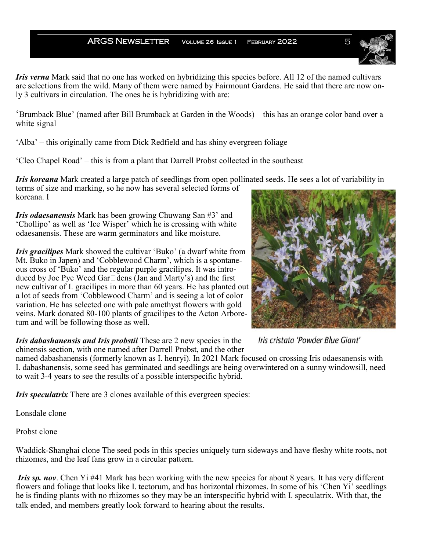#### ARGS NEWSLETTER VOLUME 26 ISSUE 1 FEBRUARY 2022

*Iris verna* Mark said that no one has worked on hybridizing this species before. All 12 of the named cultivars are selections from the wild. Many of them were named by Fairmount Gardens. He said that there are now only 3 cultivars in circulation. The ones he is hybridizing with are:

'Brumback Blue' (named after Bill Brumback at Garden in the Woods) – this has an orange color band over a white signal

'Alba' – this originally came from Dick Redfield and has shiny evergreen foliage

'Cleo Chapel Road' – this is from a plant that Darrell Probst collected in the southeast

*Iris koreana* Mark created a large patch of seedlings from open pollinated seeds. He sees a lot of variability in terms of size and marking, so he now has several selected forms of koreana. I

*Iris odaesanensis* Mark has been growing Chuwang San #3' and 'Chollipo' as well as 'Ice Wisper' which he is crossing with white odaesanensis. These are warm germinators and like moisture.

*Iris gracilipes* Mark showed the cultivar 'Buko' (a dwarf white from Mt. Buko in Japen) and 'Cobblewood Charm', which is a spontaneous cross of 'Buko' and the regular purple gracilipes. It was introduced by Joe Pye Weed Gar□dens (Jan and Marty's) and the first new cultivar of I. gracilipes in more than 60 years. He has planted out a lot of seeds from 'Cobblewood Charm' and is seeing a lot of color variation. He has selected one with pale amethyst flowers with gold veins. Mark donated 80-100 plants of gracilipes to the Acton Arboretum and will be following those as well.

*Iris dabashanensis and Iris probstii* These are 2 new species in the chinensis section, with one named after Darrell Probst, and the other

named dabashanensis (formerly known as I. henryi). In 2021 Mark focused on crossing Iris odaesanensis with I. dabashanensis, some seed has germinated and seedlings are being overwintered on a sunny windowsill, need to wait 3-4 years to see the results of a possible interspecific hybrid.

*Iris speculatrix* There are 3 clones available of this evergreen species:

Lonsdale clone

Probst clone

Waddick-Shanghai clone The seed pods in this species uniquely turn sideways and have fleshy white roots, not rhizomes, and the leaf fans grow in a circular pattern.

*Iris sp. nov.* Chen Yi #41 Mark has been working with the new species for about 8 years. It has very different flowers and foliage that looks like I. tectorum, and has horizontal rhizomes. In some of his 'Chen Yi' seedlings he is finding plants with no rhizomes so they may be an interspecific hybrid with I. speculatrix. With that, the talk ended, and members greatly look forward to hearing about the results.

Iris cristata 'Powder Blue Giant'





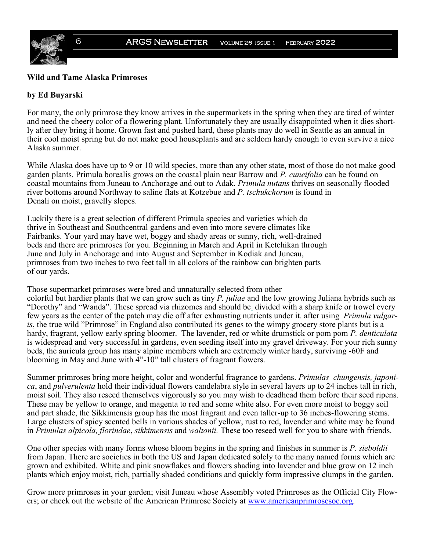

#### **Wild and Tame Alaska Primroses**

#### **by Ed Buyarski**

For many, the only primrose they know arrives in the supermarkets in the spring when they are tired of winter and need the cheery color of a flowering plant. Unfortunately they are usually disappointed when it dies shortly after they bring it home. Grown fast and pushed hard, these plants may do well in Seattle as an annual in their cool moist spring but do not make good houseplants and are seldom hardy enough to even survive a nice Alaska summer.

While Alaska does have up to 9 or 10 wild species, more than any other state, most of those do not make good garden plants. Primula borealis grows on the coastal plain near Barrow and *P. cuneifolia* can be found on coastal mountains from Juneau to Anchorage and out to Adak. *Primula nutans* thrives on seasonally flooded river bottoms around Northway to saline flats at Kotzebue and *P. tschukchorum* is found in Denali on moist, gravelly slopes.

Luckily there is a great selection of different Primula species and varieties which do thrive in Southeast and Southcentral gardens and even into more severe climates like Fairbanks. Your yard may have wet, boggy and shady areas or sunny, rich, well-drained beds and there are primroses for you. Beginning in March and April in Ketchikan through June and July in Anchorage and into August and September in Kodiak and Juneau, primroses from two inches to two feet tall in all colors of the rainbow can brighten parts of our yards.

Those supermarket primroses were bred and unnaturally selected from other colorful but hardier plants that we can grow such as tiny *P. juliae* and the low growing Juliana hybrids such as "Dorothy" and "Wanda". These spread via rhizomes and should be divided with a sharp knife or trowel every few years as the center of the patch may die off after exhausting nutrients under it. after using *Primula vulgaris*, the true wild "Primrose" in England also contributed its genes to the wimpy grocery store plants but is a hardy, fragrant, yellow early spring bloomer. The lavender, red or white drumstick or pom pom *P. denticulata* is widespread and very successful in gardens, even seeding itself into my gravel driveway. For your rich sunny beds, the auricula group has many alpine members which are extremely winter hardy, surviving -60F and blooming in May and June with 4"-10" tall clusters of fragrant flowers.

Summer primroses bring more height, color and wonderful fragrance to gardens. *Primulas chungensis, japonica*, and *pulverulenta* hold their individual flowers candelabra style in several layers up to 24 inches tall in rich, moist soil. They also reseed themselves vigorously so you may wish to deadhead them before their seed ripens. These may be yellow to orange, and magenta to red and some white also. For even more moist to boggy soil and part shade, the Sikkimensis group has the most fragrant and even taller-up to 36 inches-flowering stems. Large clusters of spicy scented bells in various shades of yellow, rust to red, lavender and white may be found in *Primulas alpicola, florindae*, *sikkimensis* and *waltonii.* These too reseed well for you to share with friends.

One other species with many forms whose bloom begins in the spring and finishes in summer is *P. sieboldii* from Japan. There are societies in both the US and Japan dedicated solely to the many named forms which are grown and exhibited. White and pink snowflakes and flowers shading into lavender and blue grow on 12 inch plants which enjoy moist, rich, partially shaded conditions and quickly form impressive clumps in the garden.

Grow more primroses in your garden; visit Juneau whose Assembly voted Primroses as the Official City Flowers; or check out the website of the American Primrose Society at [www.americanprimrosesoc.org.](http://www.americanprimrosesoc.org/)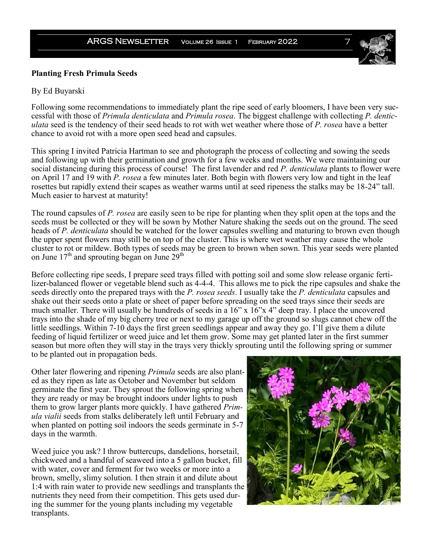#### **Planting Fresh Primula Seeds**

#### By Ed Buyarski

Following some recommendations to immediately plant the ripe seed of early bloomers, I have been very successful with those of *Primula denticulata* and *Primula rosea*. The biggest challenge with collecting *P. denticulata* seed is the tendency of their seed heads to rot with wet weather where those of *P. rosea* have a better chance to avoid rot with a more open seed head and capsules.

This spring I invited Patricia Hartman to see and photograph the process of collecting and sowing the seeds and following up with their germination and growth for a few weeks and months. We were maintaining our social distancing during this process of course! The first lavender and red *P. denticulata* plants to flower were on April 17 and 19 with *P. rosea* a few minutes later. Both begin with flowers very low and tight in the leaf rosettes but rapidly extend their scapes as weather warms until at seed ripeness the stalks may be 18-24" tall. Much easier to harvest at maturity!

The round capsules of *P. rosea* are easily seen to be ripe for planting when they split open at the tops and the seeds must be collected or they will be sown by Mother Nature shaking the seeds out on the ground. The seed heads of *P. denticulata* should be watched for the lower capsules swelling and maturing to brown even though the upper spent flowers may still be on top of the cluster. This is where wet weather may cause the whole cluster to rot or mildew. Both types of seeds may be green to brown when sown. This year seeds were planted on June  $17<sup>th</sup>$  and sprouting began on June  $29<sup>th</sup>$ 

Before collecting ripe seeds, I prepare seed trays filled with potting soil and some slow release organic fertilizer-balanced flower or vegetable blend such as 4-4-4. This allows me to pick the ripe capsules and shake the seeds directly onto the prepared trays with the *P. rosea seeds*. I usually take the *P. denticulata* capsules and shake out their seeds onto a plate or sheet of paper before spreading on the seed trays since their seeds are much smaller. There will usually be hundreds of seeds in a 16" x 16"x 4" deep tray. I place the uncovered trays into the shade of my big cherry tree or next to my garage up off the ground so slugs cannot chew off the little seedlings. Within 7-10 days the first green seedlings appear and away they go. I'll give them a dilute feeding of liquid fertilizer or weed juice and let them grow. Some may get planted later in the first summer season but more often they will stay in the trays very thickly sprouting until the following spring or summer to be planted out in propagation beds.

Other later flowering and ripening *Primula* seeds are also planted as they ripen as late as October and November but seldom germinate the first year. They sprout the following spring when they are ready or may be brought indoors under lights to push them to grow larger plants more quickly. I have gathered *Primula vialii* seeds from stalks deliberately left until February and when planted on potting soil indoors the seeds germinate in 5-7 days in the warmth.

Weed juice you ask? I throw buttercups, dandelions, horsetail, chickweed and a handful of seaweed into a 5 gallon bucket, fill with water, cover and ferment for two weeks or more into a brown, smelly, slimy solution. I then strain it and dilute about 1:4 with rain water to provide new seedlings and transplants the nutrients they need from their competition. This gets used during the summer for the young plants including my vegetable transplants.



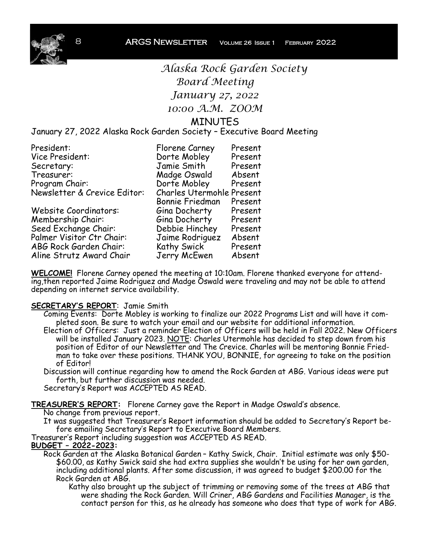

*Alaska Rock Garden Society Board Meeting January 27, 2022 10:00 A.M. ZOOM* MINUTES

### January 27, 2022 Alaska Rock Garden Society – Executive Board Meeting

| President:                   | Florene Carney            | Present |
|------------------------------|---------------------------|---------|
| Vice President:              | Dorte Mobley              | Present |
| Secretary:                   | Jamie Smith               | Present |
| Treasurer:                   | Madge Oswald              | Absent  |
| Program Chair:               | Dorte Mobley              | Present |
| Newsletter & Crevice Editor: | Charles Utermohle Present |         |
|                              | Bonnie Friedman           | Present |
| Website Coordinators:        | Gina Docherty             | Present |
| Membership Chair:            | Gina Docherty             | Present |
| Seed Exchange Chair:         | Debbie Hinchey            | Present |
| Palmer Visitor Ctr Chair:    | Jaime Rodriguez           | Absent  |
| ABG Rock Garden Chair:       | Kathy Swick               | Present |
| Aline Strutz Award Chair     | Jerry McEwen              | Absent  |

**WELCOME!** Florene Carney opened the meeting at 10:10am. Florene thanked everyone for attending,then reported Jaime Rodriguez and Madge Oswald were traveling and may not be able to attend depending on internet service availability.

#### **SECRETARY'S REPORT**: Jamie Smith

- Coming Events: Dorte Mobley is working to finalize our 2022 Programs List and will have it completed soon. Be sure to watch your email and our website for additional information.
- Election of Officers: Just a reminder Election of Officers will be held in Fall 2022. New Officers will be installed January 2023. <u>NOTE</u>: Charles Utermohle has decided to step down from his position of Editor of our Newsletter and The Crevice. Charles will be mentoring Bonnie Friedman to take over these positions. THANK YOU, BONNIE, for agreeing to take on the position of Editor!
- Discussion will continue regarding how to amend the Rock Garden at ABG. Various ideas were put forth, but further discussion was needed.

Secretary's Report was ACCEPTED AS READ.

**TREASURER'S REPORT:** Florene Carney gave the Report in Madge Oswald's absence.

No change from previous report.

It was suggested that Treasurer's Report information should be added to Secretary's Report before emailing Secretary's Report to Executive Board Members.

Treasurer's Report including suggestion was ACCEPTED AS READ.

#### **BUDGET – 2022-2023:**

Rock Garden at the Alaska Botanical Garden – Kathy Swick, Chair. Initial estimate was only \$50- \$60.00, as Kathy Swick said she had extra supplies she wouldn't be using for her own garden, including additional plants. After some discussion, it was agreed to budget \$200.00 for the Rock Garden at ABG.

Kathy also brought up the subject of trimming or removing some of the trees at ABG that were shading the Rock Garden. Will Criner, ABG Gardens and Facilities Manager, is the contact person for this, as he already has someone who does that type of work for ABG.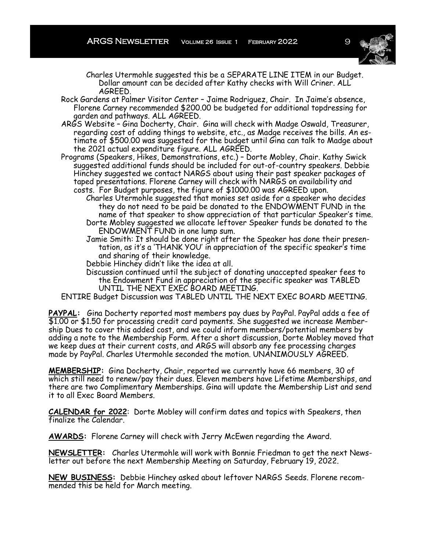

Charles Utermohle suggested this be a SEPARATE LINE ITEM in our Budget. Dollar amount can be decided after Kathy checks with Will Criner. ALL AGREED.

- Rock Gardens at Palmer Visitor Center Jaime Rodriguez, Chair. In Jaime's absence, Florene Carney recommended \$200.00 be budgeted for additional topdressing for garden and pathways. ALL AGREED.
- ARGS Website Gina Docherty, Chair. Gina will check with Madge Oswald, Treasurer, regarding cost of adding things to website, etc., as Madge receives the bills. An estimate of \$500.00 was suggested for the budget until Gina can talk to Madge about the 2021 actual expenditure figure. ALL AGREED.
- Programs (Speakers, Hikes, Demonstrations, etc.) Dorte Mobley, Chair. Kathy Swick suggested additional funds should be included for out-of-country speakers. Debbie Hinchey suggested we contact NARGS about using their past speaker packages of taped presentations. Florene Carney will check with NARGS on availability and costs. For Budget purposes, the figure of \$1000.00 was AGREED upon.
	- Charles Utermohle suggested that monies set aside for a speaker who decides they do not need to be paid be donated to the ENDOWMENT FUND in the name of that speaker to show appreciation of that particular Speaker's time. Dorte Mobley suggested we allocate leftover Speaker funds be donated to the ENDOWMENT FUND in one lump sum.
	- Jamie Smith: It should be done right after the Speaker has done their presentation, as it's a 'THANK YOU' in appreciation of the specific speaker's time and sharing of their knowledge.
	- Debbie Hinchey didn't like the idea at all.
	- Discussion continued until the subject of donating unaccepted speaker fees to the Endowment Fund in appreciation of the specific speaker was TABLED UNTIL THE NEXT EXEC BOARD MEETING.

ENTIRE Budget Discussion was TABLED UNTIL THE NEXT EXEC BOARD MEETING.

**PAYPAL:** Gina Docherty reported most members pay dues by PayPal. PayPal adds a fee of \$1.00 or \$1.50 for processing credit card payments. She suggested we increase Membership Dues to cover this added cost, and we could inform members/potential members by adding a note to the Membership Form. After a short discussion, Dorte Mobley moved that we keep dues at their current costs, and ARGS will absorb any fee processing charges made by PayPal. Charles Utermohle seconded the motion. UNANIMOUSLY AGREED.

**MEMBERSHIP:** Gina Docherty, Chair, reported we currently have 66 members, 30 of which still need to renew/pay their dues. Eleven members have Lifetime Memberships, and there are two Complimentary Memberships. Gina will update the Membership List and send it to all Exec Board Members.

**CALENDAR for 2022**: Dorte Mobley will confirm dates and topics with Speakers, then finalize the Calendar.

**AWARDS:** Florene Carney will check with Jerry McEwen regarding the Award.

**NEWSLETTER:** Charles Utermohle will work with Bonnie Friedman to get the next Newsletter out before the next Membership Meeting on Saturday, February 19, 2022.

**NEW BUSINESS:** Debbie Hinchey asked about leftover NARGS Seeds. Florene recommended this be held for March meeting.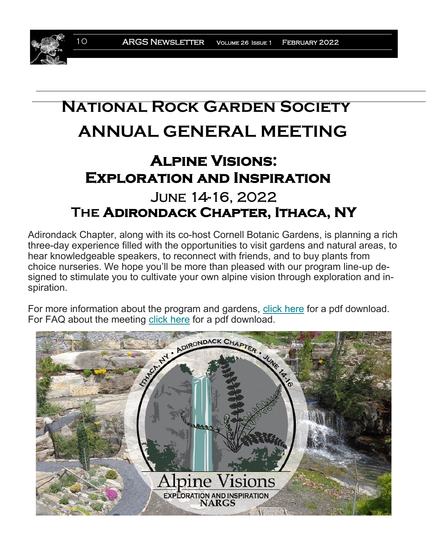# **National Rock Garden Society ANNUAL GENERAL MEETING**

# **Alpine Visions: Exploration and Inspiration**  June 14-16, 2022 **The Adirondack Chapter, Ithaca, NY**

Adirondack Chapter, along with its co-host Cornell Botanic Gardens, is planning a rich three-day experience filled with the opportunities to visit gardens and natural areas, to hear knowledgeable speakers, to reconnect with friends, and to buy plants from choice nurseries. We hope you'll be more than pleased with our program line-up designed to stimulate you to cultivate your own alpine vision through exploration and inspiration.

For more information about the program and gardens, [click here](https://nargs.us19.list-manage.com/track/click?u=e4d4e7fcd9986a04ba0acf85a&id=3fc788cab2&e=ff23a05e3b) for a pdf download. For FAQ about the meeting [click here](https://nargs.us19.list-manage.com/track/click?u=e4d4e7fcd9986a04ba0acf85a&id=2415bb1187&e=ff23a05e3b) for a pdf download.